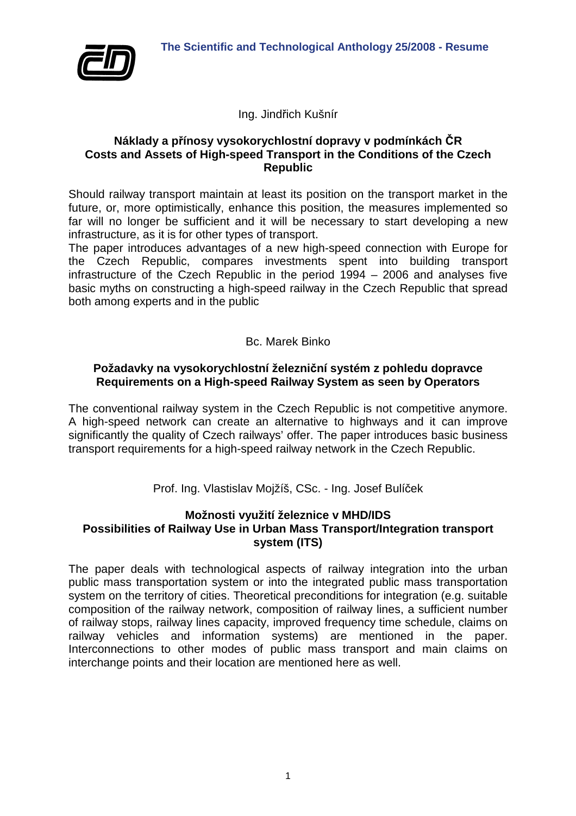

Ing. Jindřich Kušnír

#### **Náklady a přínosy vysokorychlostní dopravy v podmínkách ČR Costs and Assets of High-speed Transport in the Conditions of the Czech Republic**

Should railway transport maintain at least its position on the transport market in the future, or, more optimistically, enhance this position, the measures implemented so far will no longer be sufficient and it will be necessary to start developing a new infrastructure, as it is for other types of transport.

The paper introduces advantages of a new high-speed connection with Europe for the Czech Republic, compares investments spent into building transport infrastructure of the Czech Republic in the period 1994 – 2006 and analyses five basic myths on constructing a high-speed railway in the Czech Republic that spread both among experts and in the public

Bc. Marek Binko

## **Požadavky na vysokorychlostní železniční systém z pohledu dopravce Requirements on a High-speed Railway System as seen by Operators**

The conventional railway system in the Czech Republic is not competitive anymore. A high-speed network can create an alternative to highways and it can improve significantly the quality of Czech railways' offer. The paper introduces basic business transport requirements for a high-speed railway network in the Czech Republic.

Prof. Ing. Vlastislav Mojžíš, CSc. - Ing. Josef Bulíček

# **Možnosti využití železnice v MHD/IDS Possibilities of Railway Use in Urban Mass Transport/Integration transport system (ITS)**

The paper deals with technological aspects of railway integration into the urban public mass transportation system or into the integrated public mass transportation system on the territory of cities. Theoretical preconditions for integration (e.g. suitable composition of the railway network, composition of railway lines, a sufficient number of railway stops, railway lines capacity, improved frequency time schedule, claims on railway vehicles and information systems) are mentioned in the paper. Interconnections to other modes of public mass transport and main claims on interchange points and their location are mentioned here as well.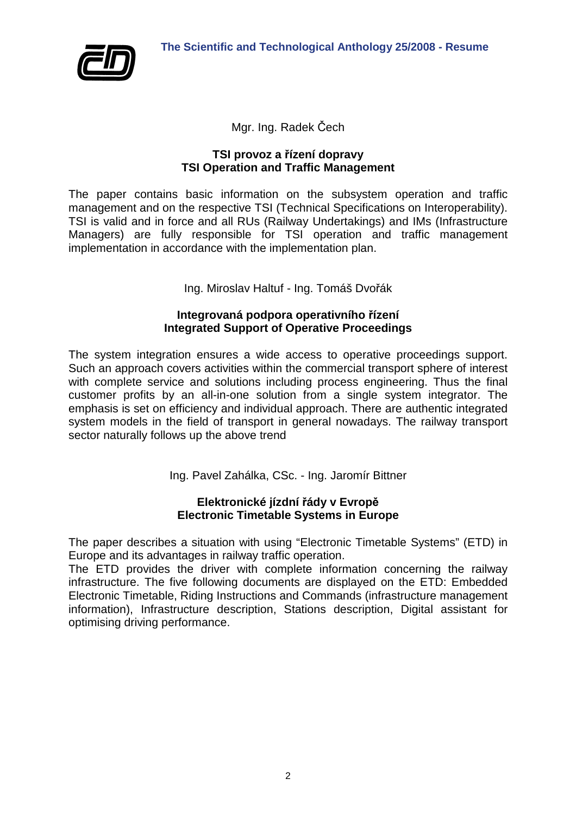

Mgr. Ing. Radek Čech

## **TSI provoz a řízení dopravy TSI Operation and Traffic Management**

The paper contains basic information on the subsystem operation and traffic management and on the respective TSI (Technical Specifications on Interoperability). TSI is valid and in force and all RUs (Railway Undertakings) and IMs (Infrastructure Managers) are fully responsible for TSI operation and traffic management implementation in accordance with the implementation plan.

Ing. Miroslav Haltuf - Ing. Tomáš Dvořák

## **Integrovaná podpora operativního řízení Integrated Support of Operative Proceedings**

The system integration ensures a wide access to operative proceedings support. Such an approach covers activities within the commercial transport sphere of interest with complete service and solutions including process engineering. Thus the final customer profits by an all-in-one solution from a single system integrator. The emphasis is set on efficiency and individual approach. There are authentic integrated system models in the field of transport in general nowadays. The railway transport sector naturally follows up the above trend

Ing. Pavel Zahálka, CSc. - Ing. Jaromír Bittner

## **Elektronické jízdní řády v Evropě Electronic Timetable Systems in Europe**

The paper describes a situation with using "Electronic Timetable Systems" (ETD) in Europe and its advantages in railway traffic operation.

The ETD provides the driver with complete information concerning the railway infrastructure. The five following documents are displayed on the ETD: Embedded Electronic Timetable, Riding Instructions and Commands (infrastructure management information), Infrastructure description, Stations description, Digital assistant for optimising driving performance.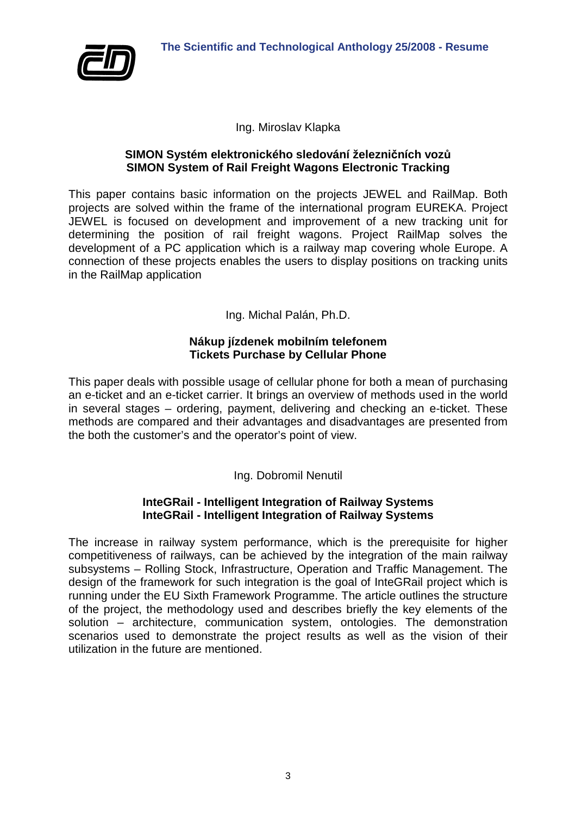

## Ing. Miroslav Klapka

#### **SIMON Systém elektronického sledování železničních vozů SIMON System of Rail Freight Wagons Electronic Tracking**

This paper contains basic information on the projects JEWEL and RailMap. Both projects are solved within the frame of the international program EUREKA. Project JEWEL is focused on development and improvement of a new tracking unit for determining the position of rail freight wagons. Project RailMap solves the development of a PC application which is a railway map covering whole Europe. A connection of these projects enables the users to display positions on tracking units in the RailMap application

Ing. Michal Palán, Ph.D.

## **Nákup jízdenek mobilním telefonem Tickets Purchase by Cellular Phone**

This paper deals with possible usage of cellular phone for both a mean of purchasing an e-ticket and an e-ticket carrier. It brings an overview of methods used in the world in several stages – ordering, payment, delivering and checking an e-ticket. These methods are compared and their advantages and disadvantages are presented from the both the customer's and the operator's point of view.

Ing. Dobromil Nenutil

## **InteGRail - Intelligent Integration of Railway Systems InteGRail - Intelligent Integration of Railway Systems**

The increase in railway system performance, which is the prerequisite for higher competitiveness of railways, can be achieved by the integration of the main railway subsystems – Rolling Stock, Infrastructure, Operation and Traffic Management. The design of the framework for such integration is the goal of InteGRail project which is running under the EU Sixth Framework Programme. The article outlines the structure of the project, the methodology used and describes briefly the key elements of the solution – architecture, communication system, ontologies. The demonstration scenarios used to demonstrate the project results as well as the vision of their utilization in the future are mentioned.